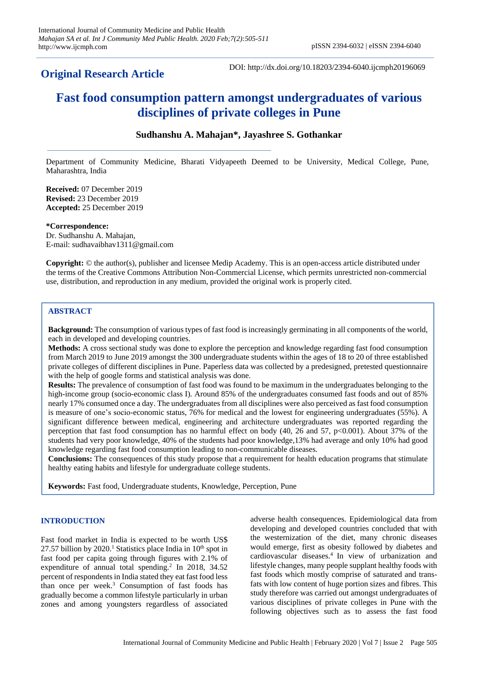# **Original Research Article**

DOI: http://dx.doi.org/10.18203/2394-6040.ijcmph20196069

# **Fast food consumption pattern amongst undergraduates of various disciplines of private colleges in Pune**

# **Sudhanshu A. Mahajan\*, Jayashree S. Gothankar**

Department of Community Medicine, Bharati Vidyapeeth Deemed to be University, Medical College, Pune, Maharashtra, India

**Received:** 07 December 2019 **Revised:** 23 December 2019 **Accepted:** 25 December 2019

**\*Correspondence:** Dr. Sudhanshu A. Mahajan, E-mail: sudhavaibhav1311@gmail.com

**Copyright:** © the author(s), publisher and licensee Medip Academy. This is an open-access article distributed under the terms of the Creative Commons Attribution Non-Commercial License, which permits unrestricted non-commercial use, distribution, and reproduction in any medium, provided the original work is properly cited.

## **ABSTRACT**

**Background:** The consumption of various types of fast food is increasingly germinating in all components of the world, each in developed and developing countries.

**Methods:** A cross sectional study was done to explore the perception and knowledge regarding fast food consumption from March 2019 to June 2019 amongst the 300 undergraduate students within the ages of 18 to 20 of three established private colleges of different disciplines in Pune. Paperless data was collected by a predesigned, pretested questionnaire with the help of google forms and statistical analysis was done.

**Results:** The prevalence of consumption of fast food was found to be maximum in the undergraduates belonging to the high-income group (socio-economic class I). Around 85% of the undergraduates consumed fast foods and out of 85% nearly 17% consumed once a day. The undergraduates from all disciplines were also perceived as fast food consumption is measure of one's socio-economic status, 76% for medical and the lowest for engineering undergraduates (55%). A significant difference between medical, engineering and architecture undergraduates was reported regarding the perception that fast food consumption has no harmful effect on body (40, 26 and 57, p<0.001). About 37% of the students had very poor knowledge, 40% of the students had poor knowledge,13% had average and only 10% had good knowledge regarding fast food consumption leading to non-communicable diseases.

**Conclusions:** The consequences of this study propose that a requirement for health education programs that stimulate healthy eating habits and lifestyle for undergraduate college students.

**Keywords:** Fast food, Undergraduate students, Knowledge, Perception, Pune

### **INTRODUCTION**

Fast food market in India is expected to be worth US\$ 27.57 billion by 2020.<sup>1</sup> Statistics place India in  $10^{th}$  spot in fast food per capita going through figures with 2.1% of expenditure of annual total spending.<sup>2</sup> In 2018, 34.52 percent of respondents in India stated they eat fast food less than once per week.<sup>3</sup> Consumption of fast foods has gradually become a common lifestyle particularly in urban zones and among youngsters regardless of associated

adverse health consequences. Epidemiological data from developing and developed countries concluded that with the westernization of the diet, many chronic diseases would emerge, first as obesity followed by diabetes and cardiovascular diseases.<sup>4</sup> In view of urbanization and lifestyle changes, many people supplant healthy foods with fast foods which mostly comprise of saturated and transfats with low content of huge portion sizes and fibres. This study therefore was carried out amongst undergraduates of various disciplines of private colleges in Pune with the following objectives such as to assess the fast food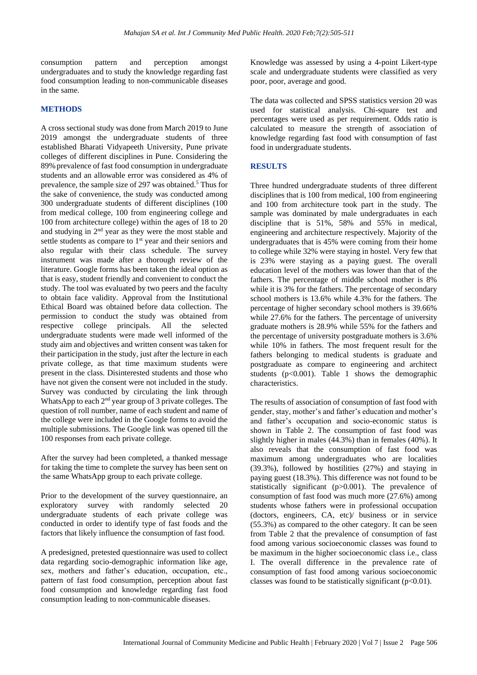consumption pattern and perception amongst undergraduates and to study the knowledge regarding fast food consumption leading to non-communicable diseases in the same.

#### **METHODS**

A cross sectional study was done from March 2019 to June 2019 amongst the undergraduate students of three established Bharati Vidyapeeth University, Pune private colleges of different disciplines in Pune. Considering the 89% prevalence of fast food consumption in undergraduate students and an allowable error was considered as 4% of prevalence, the sample size of 297 was obtained.<sup>5</sup> Thus for the sake of convenience, the study was conducted among 300 undergraduate students of different disciplines (100 from medical college, 100 from engineering college and 100 from architecture college) within the ages of 18 to 20 and studying in 2<sup>nd</sup> year as they were the most stable and settle students as compare to 1<sup>st</sup> year and their seniors and also regular with their class schedule. The survey instrument was made after a thorough review of the literature. Google forms has been taken the ideal option as that is easy, student friendly and convenient to conduct the study. The tool was evaluated by two peers and the faculty to obtain face validity. Approval from the Institutional Ethical Board was obtained before data collection. The permission to conduct the study was obtained from respective college principals. All the selected undergraduate students were made well informed of the study aim and objectives and written consent was taken for their participation in the study, just after the lecture in each private college, as that time maximum students were present in the class. Disinterested students and those who have not given the consent were not included in the study. Survey was conducted by circulating the link through WhatsApp to each 2nd year group of 3 private colleges. The question of roll number, name of each student and name of the college were included in the Google forms to avoid the multiple submissions. The Google link was opened till the 100 responses from each private college.

After the survey had been completed, a thanked message for taking the time to complete the survey has been sent on the same WhatsApp group to each private college.

Prior to the development of the survey questionnaire, an exploratory survey with randomly selected 20 undergraduate students of each private college was conducted in order to identify type of fast foods and the factors that likely influence the consumption of fast food.

A predesigned, pretested questionnaire was used to collect data regarding socio-demographic information like age, sex, mothers and father's education, occupation, etc., pattern of fast food consumption, perception about fast food consumption and knowledge regarding fast food consumption leading to non-communicable diseases.

Knowledge was assessed by using a 4-point Likert-type scale and undergraduate students were classified as very poor, poor, average and good.

The data was collected and SPSS statistics version 20 was used for statistical analysis. Chi-square test and percentages were used as per requirement. Odds ratio is calculated to measure the strength of association of knowledge regarding fast food with consumption of fast food in undergraduate students.

#### **RESULTS**

Three hundred undergraduate students of three different disciplines that is 100 from medical, 100 from engineering and 100 from architecture took part in the study. The sample was dominated by male undergraduates in each discipline that is 51%, 58% and 55% in medical, engineering and architecture respectively. Majority of the undergraduates that is 45% were coming from their home to college while 32% were staying in hostel. Very few that is 23% were staying as a paying guest. The overall education level of the mothers was lower than that of the fathers. The percentage of middle school mother is 8% while it is 3% for the fathers. The percentage of secondary school mothers is 13.6% while 4.3% for the fathers. The percentage of higher secondary school mothers is 39.66% while 27.6% for the fathers. The percentage of university graduate mothers is 28.9% while 55% for the fathers and the percentage of university postgraduate mothers is 3.6% while 10% in fathers. The most frequent result for the fathers belonging to medical students is graduate and postgraduate as compare to engineering and architect students ( $p<0.001$ ). Table 1 shows the demographic characteristics.

The results of association of consumption of fast food with gender, stay, mother's and father's education and mother's and father's occupation and socio-economic status is shown in Table 2. The consumption of fast food was slightly higher in males (44.3%) than in females (40%). It also reveals that the consumption of fast food was maximum among undergraduates who are localities (39.3%), followed by hostilities (27%) and staying in paying guest (18.3%). This difference was not found to be statistically significant (p>0.001). The prevalence of consumption of fast food was much more (27.6%) among students whose fathers were in professional occupation (doctors, engineers, CA, etc)/ business or in service (55.3%) as compared to the other category. It can be seen from Table 2 that the prevalence of consumption of fast food among various socioeconomic classes was found to be maximum in the higher socioeconomic class i.e., class I. The overall difference in the prevalence rate of consumption of fast food among various socioeconomic classes was found to be statistically significant  $(p<0.01)$ .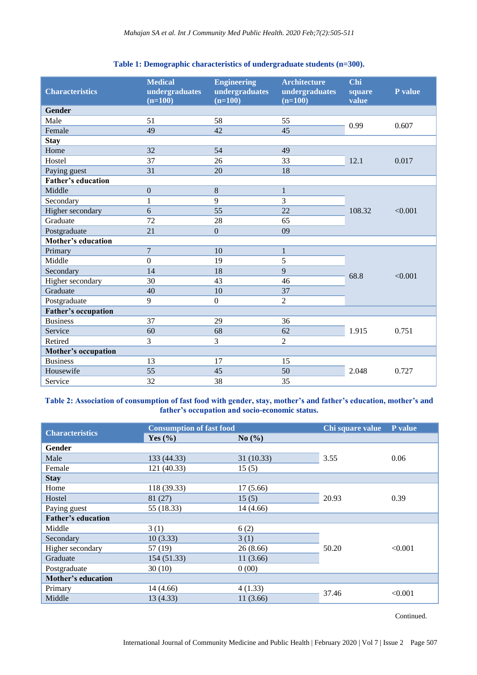| <b>Characteristics</b>     | <b>Medical</b><br>undergraduates<br>$(n=100)$ | <b>Engineering</b><br>undergraduates<br>$(n=100)$ | <b>Architecture</b><br>undergraduates<br>$(n=100)$ | Chi<br>square<br>value | P value |
|----------------------------|-----------------------------------------------|---------------------------------------------------|----------------------------------------------------|------------------------|---------|
| <b>Gender</b>              |                                               |                                                   |                                                    |                        |         |
| Male                       | 51                                            | 58                                                | 55                                                 | 0.99                   | 0.607   |
| Female                     | 49                                            | 42                                                | 45                                                 |                        |         |
| <b>Stay</b>                |                                               |                                                   |                                                    |                        |         |
| Home                       | 32                                            | 54                                                | 49                                                 |                        |         |
| Hostel                     | 37                                            | 26                                                | 33                                                 | 12.1                   | 0.017   |
| Paying guest               | 31                                            | 20                                                | 18                                                 |                        |         |
| <b>Father's education</b>  |                                               |                                                   |                                                    |                        |         |
| Middle                     | $\overline{0}$                                | 8                                                 | $\mathbf{1}$                                       |                        |         |
| Secondary                  | $\mathbf{1}$                                  | 9                                                 | 3                                                  |                        | < 0.001 |
| Higher secondary           | 6                                             | 55                                                | 22                                                 | 108.32                 |         |
| Graduate                   | 72                                            | 28                                                | 65                                                 |                        |         |
| Postgraduate               | 21                                            | $\overline{0}$                                    | 09                                                 |                        |         |
| <b>Mother's education</b>  |                                               |                                                   |                                                    |                        |         |
| Primary                    | $\overline{7}$                                | 10                                                | $\mathbf{1}$                                       |                        |         |
| Middle                     | $\boldsymbol{0}$                              | 19                                                | 5                                                  |                        | < 0.001 |
| Secondary                  | 14                                            | 18                                                | 9                                                  | 68.8                   |         |
| Higher secondary           | 30                                            | 43                                                | 46                                                 |                        |         |
| Graduate                   | 40                                            | 10                                                | 37                                                 |                        |         |
| Postgraduate               | 9                                             | $\overline{0}$                                    | $\overline{2}$                                     |                        |         |
| Father's occupation        |                                               |                                                   |                                                    |                        |         |
| <b>Business</b>            | 37                                            | 29                                                | 36                                                 |                        |         |
| Service                    | 60                                            | 68                                                | 62                                                 | 1.915                  | 0.751   |
| Retired                    | 3                                             | 3                                                 | $\overline{2}$                                     |                        |         |
| <b>Mother's occupation</b> |                                               |                                                   |                                                    |                        |         |
| <b>Business</b>            | 13                                            | 17                                                | 15                                                 |                        |         |
| Housewife                  | 55                                            | 45                                                | 50                                                 | 2.048                  | 0.727   |
| Service                    | 32                                            | 38                                                | 35                                                 |                        |         |

### **Table 1: Demographic characteristics of undergraduate students (n=300).**

# **Table 2: Association of consumption of fast food with gender, stay, mother's and father's education, mother's and father's occupation and socio-economic status.**

| <b>Characteristics</b>    | <b>Consumption of fast food</b> |            | Chi square value | P value |  |
|---------------------------|---------------------------------|------------|------------------|---------|--|
|                           | Yes $(\% )$                     | No $(\% )$ |                  |         |  |
| Gender                    |                                 |            |                  |         |  |
| Male                      | 133 (44.33)                     | 31(10.33)  | 3.55             | 0.06    |  |
| Female                    | 121 (40.33)                     | 15(5)      |                  |         |  |
| <b>Stay</b>               |                                 |            |                  |         |  |
| Home                      | 118 (39.33)                     | 17(5.66)   |                  |         |  |
| Hostel                    | 81 (27)                         | 15(5)      | 20.93            | 0.39    |  |
| Paying guest              | 55 (18.33)                      | 14(4.66)   |                  |         |  |
| <b>Father's education</b> |                                 |            |                  |         |  |
| Middle                    | 3(1)                            | 6(2)       |                  |         |  |
| Secondary                 | 10(3.33)                        | 3(1)       |                  | < 0.001 |  |
| Higher secondary          | 57 (19)                         | 26(8.66)   | 50.20            |         |  |
| Graduate                  | 154 (51.33)                     | 11(3.66)   |                  |         |  |
| Postgraduate              | 30 (10)                         | 0(00)      |                  |         |  |
| Mother's education        |                                 |            |                  |         |  |
| Primary                   | 14 (4.66)                       | 4(1.33)    | 37.46            | < 0.001 |  |
| Middle                    | 13 (4.33)                       | 11(3.66)   |                  |         |  |

Continued.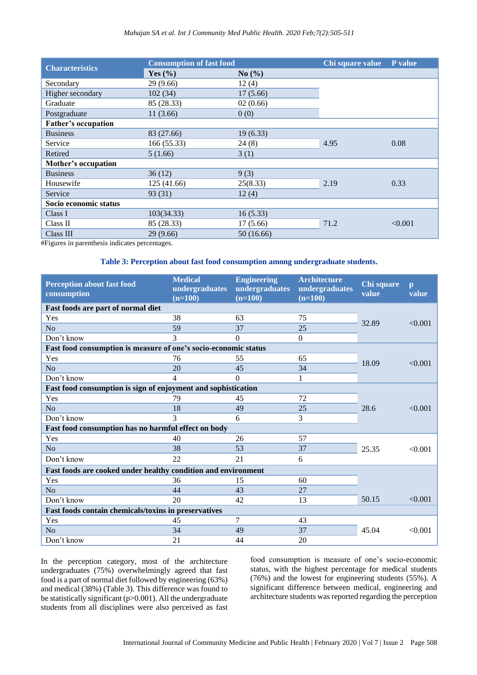| <b>Characteristics</b>     | <b>Consumption of fast food</b> |            | Chi square value | P value |  |
|----------------------------|---------------------------------|------------|------------------|---------|--|
|                            | Yes $(\% )$                     | No $(\% )$ |                  |         |  |
| Secondary                  | 29(9.66)                        | 12(4)      |                  |         |  |
| Higher secondary           | 102(34)                         | 17(5.66)   |                  |         |  |
| Graduate                   | 85 (28.33)                      | 02(0.66)   |                  |         |  |
| Postgraduate               | 11 (3.66)                       | 0(0)       |                  |         |  |
| Father's occupation        |                                 |            |                  |         |  |
| <b>Business</b>            | 83 (27.66)                      | 19(6.33)   |                  |         |  |
| Service                    | 166 (55.33)                     | 24(8)      | 4.95             | 0.08    |  |
| Retired                    | 5(1.66)                         | 3(1)       |                  |         |  |
| <b>Mother's occupation</b> |                                 |            |                  |         |  |
| <b>Business</b>            | 36(12)                          | 9(3)       |                  |         |  |
| Housewife                  | 125 (41.66)                     | 25(8.33)   | 2.19             | 0.33    |  |
| Service                    | 93(31)                          | 12(4)      |                  |         |  |
| Socio economic status      |                                 |            |                  |         |  |
| Class I                    | 103(34.33)                      | 16(5.33)   |                  |         |  |
| Class II                   | 85 (28.33)                      | 17(5.66)   | 71.2             | < 0.001 |  |
| Class III                  | 29 (9.66)                       | 50 (16.66) |                  |         |  |

#Figures in parenthesis indicates percentages.

#### **Table 3: Perception about fast food consumption among undergraduate students.**

| <b>Perception about fast food</b><br>consumption                | <b>Medical</b><br>undergraduates<br>$(n=100)$ | <b>Engineering</b><br>undergraduates<br>$(n=100)$ | <b>Architecture</b><br>undergraduates<br>$(n=100)$ | Chi square<br>value | $\mathbf{p}$<br>value |
|-----------------------------------------------------------------|-----------------------------------------------|---------------------------------------------------|----------------------------------------------------|---------------------|-----------------------|
| Fast foods are part of normal diet                              |                                               |                                                   |                                                    |                     |                       |
| Yes                                                             | 38                                            | 63                                                | 75                                                 | 32.89               | < 0.001               |
| No                                                              | 59                                            | 37                                                | 25                                                 |                     |                       |
| Don't know                                                      | 3                                             | 0                                                 | $\Omega$                                           |                     |                       |
| Fast food consumption is measure of one's socio-economic status |                                               |                                                   |                                                    |                     |                       |
| Yes                                                             | 76                                            | 55                                                | 65                                                 | 18.09               | < 0.001               |
| N <sub>o</sub>                                                  | 20                                            | 45                                                | 34                                                 |                     |                       |
| Don't know                                                      | 4                                             | $\theta$                                          | 1                                                  |                     |                       |
| Fast food consumption is sign of enjoyment and sophistication   |                                               |                                                   |                                                    |                     |                       |
| Yes                                                             | 79                                            | 45                                                | 72                                                 |                     |                       |
| N <sub>o</sub>                                                  | 18                                            | 49                                                | 25                                                 | 28.6                | < 0.001               |
| Don't know                                                      | 3                                             | 6                                                 | 3                                                  |                     |                       |
| Fast food consumption has no harmful effect on body             |                                               |                                                   |                                                    |                     |                       |
| Yes                                                             | 40                                            | 26                                                | 57                                                 |                     |                       |
| N <sub>o</sub>                                                  | 38                                            | 53                                                | 37                                                 | 25.35               | < 0.001               |
| Don't know                                                      | 22                                            | 21                                                | 6                                                  |                     |                       |
| Fast foods are cooked under healthy condition and environment   |                                               |                                                   |                                                    |                     |                       |
| Yes                                                             | 36                                            | 15                                                | 60                                                 |                     |                       |
| N <sub>o</sub>                                                  | 44                                            | 43                                                | 27                                                 |                     |                       |
| Don't know                                                      | 20                                            | 42                                                | 13                                                 | 50.15               | < 0.001               |
| Fast foods contain chemicals/toxins in preservatives            |                                               |                                                   |                                                    |                     |                       |
| Yes                                                             | 45                                            | $\tau$                                            | 43                                                 |                     |                       |
| N <sub>o</sub>                                                  | 34                                            | 49                                                | 37                                                 | 45.04               | < 0.001               |
| Don't know                                                      | 21                                            | 44                                                | 20                                                 |                     |                       |

In the perception category, most of the architecture undergraduates (75%) overwhelmingly agreed that fast food is a part of normal diet followed by engineering (63%) and medical (38%) (Table 3). This difference was found to be statistically significant (p>0.001). All the undergraduate students from all disciplines were also perceived as fast food consumption is measure of one's socio-economic status, with the highest percentage for medical students (76%) and the lowest for engineering students (55%). A significant difference between medical, engineering and architecture students was reported regarding the perception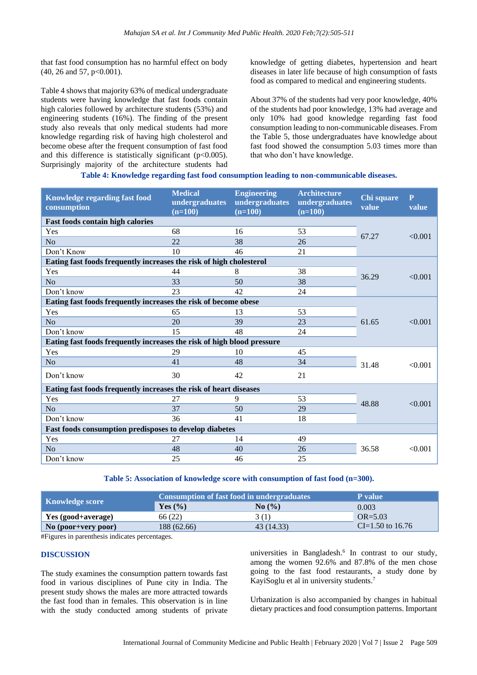that fast food consumption has no harmful effect on body (40, 26 and 57, p<0.001).

Table 4 shows that majority 63% of medical undergraduate students were having knowledge that fast foods contain high calories followed by architecture students (53%) and engineering students (16%). The finding of the present study also reveals that only medical students had more knowledge regarding risk of having high cholesterol and become obese after the frequent consumption of fast food and this difference is statistically significant  $(p<0.005)$ . Surprisingly majority of the architecture students had

knowledge of getting diabetes, hypertension and heart diseases in later life because of high consumption of fasts food as compared to medical and engineering students.

About 37% of the students had very poor knowledge, 40% of the students had poor knowledge, 13% had average and only 10% had good knowledge regarding fast food consumption leading to non-communicable diseases. From the Table 5, those undergraduates have knowledge about fast food showed the consumption 5.03 times more than that who don't have knowledge.

#### **Table 4: Knowledge regarding fast food consumption leading to non-communicable diseases.**

| Knowledge regarding fast food<br>consumption                           | <b>Medical</b><br>undergraduates<br>$(n=100)$ | <b>Engineering</b><br>undergraduates<br>$(n=100)$ | <b>Architecture</b><br>undergraduates<br>$(n=100)$ | Chi square<br>value | $\mathbf{P}$<br>value |
|------------------------------------------------------------------------|-----------------------------------------------|---------------------------------------------------|----------------------------------------------------|---------------------|-----------------------|
| <b>Fast foods contain high calories</b>                                |                                               |                                                   |                                                    |                     |                       |
| Yes                                                                    | 68                                            | 16                                                | 53                                                 | 67.27               | < 0.001               |
| No                                                                     | 22                                            | 38                                                | 26                                                 |                     |                       |
| Don't Know                                                             | 10                                            | 46                                                | 21                                                 |                     |                       |
| Eating fast foods frequently increases the risk of high cholesterol    |                                               |                                                   |                                                    |                     |                       |
| Yes                                                                    | 44                                            | 8                                                 | 38                                                 | 36.29               | < 0.001               |
| N <sub>o</sub>                                                         | 33                                            | 50                                                | 38                                                 |                     |                       |
| Don't know                                                             | 23                                            | 42                                                | 24                                                 |                     |                       |
| Eating fast foods frequently increases the risk of become obese        |                                               |                                                   |                                                    |                     |                       |
| Yes                                                                    | 65                                            | 13                                                | 53                                                 |                     | < 0.001               |
| No                                                                     | 20                                            | 39                                                | 23                                                 | 61.65               |                       |
| Don't know                                                             | 15                                            | 48                                                | 24                                                 |                     |                       |
| Eating fast foods frequently increases the risk of high blood pressure |                                               |                                                   |                                                    |                     |                       |
| Yes                                                                    | 29                                            | 10                                                | 45                                                 |                     |                       |
| N <sub>o</sub>                                                         | 41                                            | 48                                                | 34                                                 | 31.48               | < 0.001               |
| Don't know                                                             | 30                                            | 42                                                | 21                                                 |                     |                       |
| Eating fast foods frequently increases the risk of heart diseases      |                                               |                                                   |                                                    |                     |                       |
| Yes                                                                    | 27                                            | 9                                                 | 53                                                 | 48.88               | < 0.001               |
| N <sub>o</sub>                                                         | 37                                            | 50                                                | 29                                                 |                     |                       |
| Don't know                                                             | 36                                            | 41                                                | 18                                                 |                     |                       |
| Fast foods consumption predisposes to develop diabetes                 |                                               |                                                   |                                                    |                     |                       |
| Yes                                                                    | 27                                            | 14                                                | 49                                                 |                     |                       |
| N <sub>o</sub>                                                         | 48                                            | 40                                                | 26                                                 | 36.58               | < 0.001               |
| Don't know                                                             | 25                                            | 46                                                | 25                                                 |                     |                       |

**Table 5: Association of knowledge score with consumption of fast food (n=300).**

|                     | <b>Consumption of fast food in undergraduates</b> | <b>P</b> value                           |                    |
|---------------------|---------------------------------------------------|------------------------------------------|--------------------|
| Knowledge score     | Yes $(\% )$                                       | $\mathrm{No}$ $\left(\frac{9}{6}\right)$ | 0.003              |
| Yes (good+average)  | 66 (22)                                           | 3(1)                                     | $OR = 5.03$        |
| No (poor+very poor) | 188 (62.66)                                       | 43 (14.33)                               | $CI=1.50$ to 16.76 |

#Figures in parenthesis indicates percentages.

#### **DISCUSSION**

The study examines the consumption pattern towards fast food in various disciplines of Pune city in India. The present study shows the males are more attracted towards the fast food than in females. This observation is in line with the study conducted among students of private

universities in Bangladesh. 6 In contrast to our study, among the women 92.6% and 87.8% of the men chose going to the fast food restaurants, a study done by KayiSoglu et al in university students.<sup>7</sup>

Urbanization is also accompanied by changes in habitual dietary practices and food consumption patterns. Important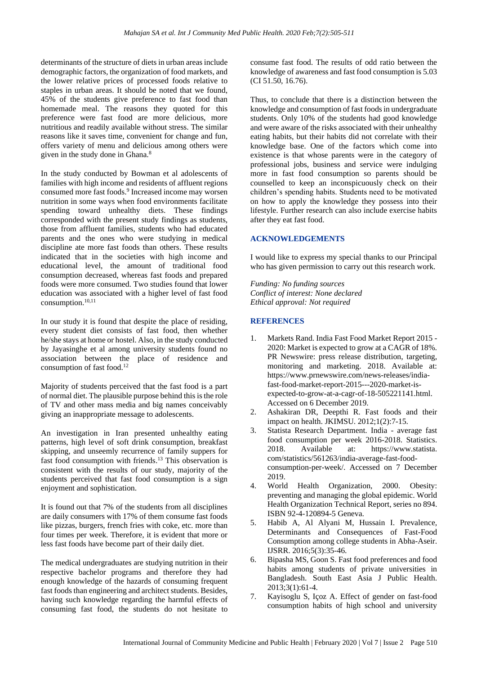determinants of the structure of diets in urban areas include demographic factors, the organization of food markets, and the lower relative prices of processed foods relative to staples in urban areas. It should be noted that we found, 45% of the students give preference to fast food than homemade meal. The reasons they quoted for this preference were fast food are more delicious, more nutritious and readily available without stress. The similar reasons like it saves time, convenient for change and fun, offers variety of menu and delicious among others were given in the study done in Ghana.<sup>8</sup>

In the study conducted by Bowman et al adolescents of families with high income and residents of affluent regions consumed more fast foods.<sup>9</sup> Increased income may worsen nutrition in some ways when food environments facilitate spending toward unhealthy diets. These findings corresponded with the present study findings as students, those from affluent families, students who had educated parents and the ones who were studying in medical discipline ate more fast foods than others. These results indicated that in the societies with high income and educational level, the amount of traditional food consumption decreased, whereas fast foods and prepared foods were more consumed. Two studies found that lower education was associated with a higher level of fast food consumption.<sup>10,11</sup>

In our study it is found that despite the place of residing, every student diet consists of fast food, then whether he/she stays at home or hostel. Also, in the study conducted by Jayasinghe et al among university students found no association between the place of residence and consumption of fast food.<sup>12</sup>

Majority of students perceived that the fast food is a part of normal diet. The plausible purpose behind this is the role of TV and other mass media and big names conceivably giving an inappropriate message to adolescents.

An investigation in Iran presented unhealthy eating patterns, high level of soft drink consumption, breakfast skipping, and unseemly recurrence of family suppers for fast food consumption with friends. <sup>13</sup> This observation is consistent with the results of our study, majority of the students perceived that fast food consumption is a sign enjoyment and sophistication.

It is found out that 7% of the students from all disciplines are daily consumers with 17% of them consume fast foods like pizzas, burgers, french fries with coke, etc. more than four times per week. Therefore, it is evident that more or less fast foods have become part of their daily diet.

The medical undergraduates are studying nutrition in their respective bachelor programs and therefore they had enough knowledge of the hazards of consuming frequent fast foods than engineering and architect students. Besides, having such knowledge regarding the harmful effects of consuming fast food, the students do not hesitate to

consume fast food. The results of odd ratio between the knowledge of awareness and fast food consumption is 5.03 (CI 51.50, 16.76).

Thus, to conclude that there is a distinction between the knowledge and consumption of fast foods in undergraduate students. Only 10% of the students had good knowledge and were aware of the risks associated with their unhealthy eating habits, but their habits did not correlate with their knowledge base. One of the factors which come into existence is that whose parents were in the category of professional jobs, business and service were indulging more in fast food consumption so parents should be counselled to keep an inconspicuously check on their children's spending habits. Students need to be motivated on how to apply the knowledge they possess into their lifestyle. Further research can also include exercise habits after they eat fast food.

### **ACKNOWLEDGEMENTS**

I would like to express my special thanks to our Principal who has given permission to carry out this research work.

*Funding: No funding sources Conflict of interest: None declared Ethical approval: Not required*

# **REFERENCES**

- 1. Markets Rand. India Fast Food Market Report 2015 2020: Market is expected to grow at a CAGR of 18%. PR Newswire: press release distribution, targeting, monitoring and marketing. 2018. Available at: https://www.prnewswire.com/news-releases/indiafast-food-market-report-2015---2020-market-isexpected-to-grow-at-a-cagr-of-18-505221141.html. Accessed on 6 December 2019.
- 2. Ashakiran DR, Deepthi R. Fast foods and their impact on health. JKIMSU. 2012;1(2):7-15.
- 3. Statista Research Department. India average fast food consumption per week 2016-2018. Statistics. 2018. Available at: https://www.statista. com/statistics/561263/india-average-fast-foodconsumption-per-week/. Accessed on 7 December 2019.
- 4. World Health Organization, 2000. Obesity: preventing and managing the global epidemic. World Health Organization Technical Report, series no 894. ISBN 92-4-120894-5 Geneva.
- 5. Habib A, Al Alyani M, Hussain I. Prevalence, Determinants and Consequences of Fast-Food Consumption among college students in Abha-Aseir. IJSRR. 2016;5(3):35-46.
- 6. Bipasha MS, Goon S. Fast food preferences and food habits among students of private universities in Bangladesh. South East Asia J Public Health. 2013;3(1):61-4.
- 7. Kayisoglu S, Içoz A. Effect of gender on fast-food consumption habits of high school and university